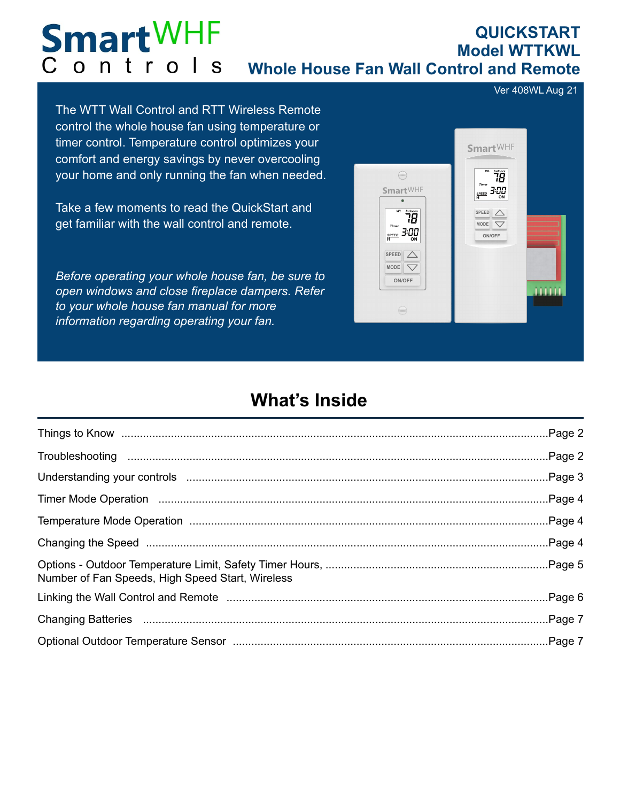#### **Smart**WHF **QUICKSTART Model WTTKWL** Controls **Whole House Fan Wall Control and Remote**

Ver 408WL Aug 21

The WTT Wall Control and RTT Wireless Remote control the whole house fan using temperature or timer control. Temperature control optimizes your comfort and energy savings by never overcooling your home and only running the fan when needed.

Take a few moments to read the QuickStart and get familiar with the wall control and remote.

*Before operating your whole house fan, be sure to open windows and close fireplace dampers. Refer to your whole house fan manual for more information regarding operating your fan.*



# **What's Inside**

| Number of Fan Speeds, High Speed Start, Wireless |  |
|--------------------------------------------------|--|
|                                                  |  |
|                                                  |  |
|                                                  |  |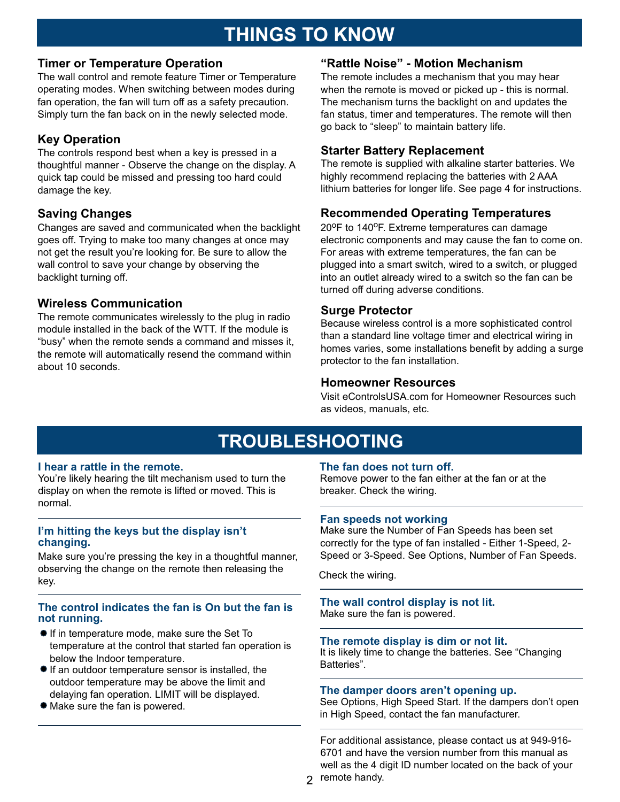# **THINGS TO KNOW**

### **Timer or Temperature Operation**

The wall control and remote feature Timer or Temperature operating modes. When switching between modes during fan operation, the fan will turn off as a safety precaution. Simply turn the fan back on in the newly selected mode.

# **Key Operation**

The controls respond best when a key is pressed in a thoughtful manner - Observe the change on the display. A quick tap could be missed and pressing too hard could damage the key.

# **Saving Changes**

Changes are saved and communicated when the backlight goes off. Trying to make too many changes at once may not get the result you're looking for. Be sure to allow the wall control to save your change by observing the backlight turning off.

### **Wireless Communication**

The remote communicates wirelessly to the plug in radio module installed in the back of the WTT. If the module is "busy" when the remote sends a command and misses it, the remote will automatically resend the command within about 10 seconds.

## **"Rattle Noise" - Motion Mechanism**

The remote includes a mechanism that you may hear when the remote is moved or picked up - this is normal. The mechanism turns the backlight on and updates the fan status, timer and temperatures. The remote will then go back to "sleep" to maintain battery life.

### **Starter Battery Replacement**

The remote is supplied with alkaline starter batteries. We highly recommend replacing the batteries with 2 AAA lithium batteries for longer life. See page 4 for instructions.

# **Recommended Operating Temperatures**

 $20^{\circ}$ F to 140 $^{\circ}$ F. Extreme temperatures can damage electronic components and may cause the fan to come on. For areas with extreme temperatures, the fan can be plugged into a smart switch, wired to a switch, or plugged into an outlet already wired to a switch so the fan can be turned off during adverse conditions.

### **Surge Protector**

Because wireless control is a more sophisticated control than a standard line voltage timer and electrical wiring in homes varies, some installations benefit by adding a surge protector to the fan installation.

### **Homeowner Resources**

Visit eControlsUSA.com for Homeowner Resources such as videos, manuals, etc.

# **TROUBLESHOOTING**

### **I hear a rattle in the remote.**

You're likely hearing the tilt mechanism used to turn the display on when the remote is lifted or moved. This is normal.

### **I'm hitting the keys but the display isn't changing.**

Make sure you're pressing the key in a thoughtful manner, observing the change on the remote then releasing the key.

### **The control indicates the fan is On but the fan is not running.** Make sure the fan is powered.

- If in temperature mode, make sure the Set To temperature at the control that started fan operation is below the Indoor temperature.
- If an outdoor temperature sensor is installed, the outdoor temperature may be above the limit and delaying fan operation. LIMIT will be displayed.
- Make sure the fan is powered.

### **The fan does not turn off.**

Remove power to the fan either at the fan or at the breaker. Check the wiring.

### **Fan speeds not working**

Make sure the Number of Fan Speeds has been set correctly for the type of fan installed - Either 1-Speed, 2- Speed or 3-Speed. See Options, Number of Fan Speeds.

Check the wiring.

# **The wall control display is not lit.**

### **The remote display is dim or not lit.**

It is likely time to change the batteries. See "Changing Batteries".

### **The damper doors aren't opening up.**

See Options, High Speed Start. If the dampers don't open in High Speed, contact the fan manufacturer.

For additional assistance, please contact us at 949-916- 6701 and have the version number from this manual as well as the 4 digit ID number located on the back of your

2 remote handy.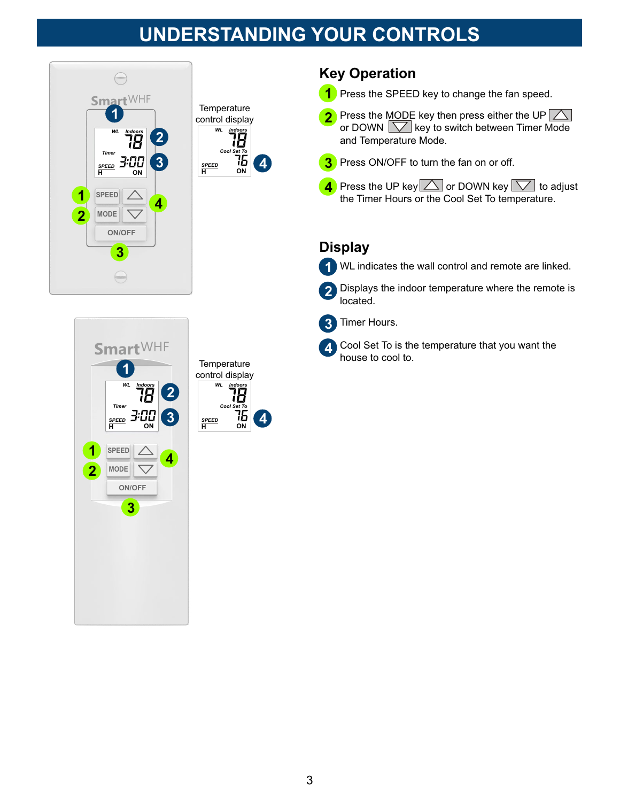# **UNDERSTANDING YOUR CONTROLS**





## **Key Operation**

- **1** Press the SPEED key to change the fan speed.
- Press the MODE key then press either the UP  $\triangle$ or DOWN  $\boxed{\bigtriangledown}$  key to switch between Timer Mode and Temperature Mode. **2**
- Press ON/OFF to turn the fan on or off. **3**
- **4** Press the UP key  $\triangle$  or DOWN key  $\triangledown$  to adjust the Timer Hours or the Cool Set To temperature.

### **Display**

WL indicates the wall control and remote are linked. **1**

Displays the indoor temperature where the remote is located. **2**



**4**

Cool Set To is the temperature that you want the house to cool to.



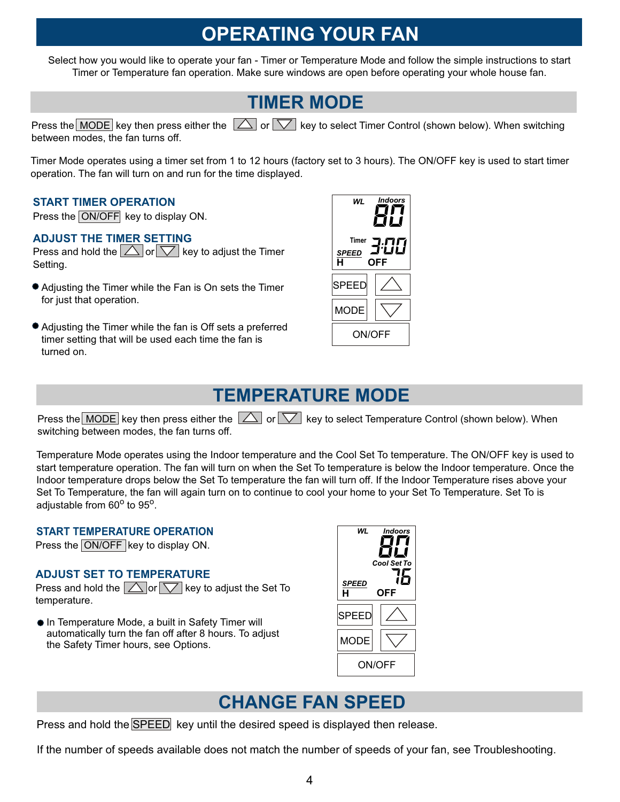# **OPERATING YOUR FAN**

Select how you would like to operate your fan - Timer or Temperature Mode and follow the simple instructions to start Timer or Temperature fan operation. Make sure windows are open before operating your whole house fan.

# **TIMER MODE**

Press the MODE key then press either the  $\Box$  or  $\nabla$  key to select Timer Control (shown below). When switching between modes, the fan turns off.

Timer Mode operates using a timer set from 1 to 12 hours (factory set to 3 hours). The ON/OFF key is used to start timer operation. The fan will turn on and run for the time displayed.

#### **START TIMER OPERATION**

Press the ON/OFF key to display ON.

### **ADJUST THE TIMER SETTING**

Press and hold the  $\triangle$  or  $\nabla$  key to adjust the Timer Setting.

- Adjusting the Timer while the Fan is On sets the Timer for just that operation.
- Adjusting the Timer while the fan is Off sets a preferred timer setting that will be used each time the fan is turned on.



# **TEMPERATURE MODE**

Press the MODE key then press either the  $\Box$  or  $\nabla$  key to select Temperature Control (shown below). When switching between modes, the fan turns off.

Temperature Mode operates using the Indoor temperature and the Cool Set To temperature. The ON/OFF key is used to start temperature operation. The fan will turn on when the Set To temperature is below the Indoor temperature. Once the Indoor temperature drops below the Set To temperature the fan will turn off. If the Indoor Temperature rises above your Set To Temperature, the fan will again turn on to continue to cool your home to your Set To Temperature. Set To is adjustable from  $60^{\circ}$  to  $95^{\circ}$ .

#### **START TEMPERATURE OPERATION**

Press the ON/OFF key to display ON.

### **ADJUST SET TO TEMPERATURE**

Press and hold the  $\Box$  or  $\Box$  key to adjust the Set To temperature.

● In Temperature Mode, a built in Safety Timer will automatically turn the fan off after 8 hours. To adjust the Safety Timer hours, see Options.



# **CHANGE FAN SPEED**

Press and hold the SPEED key until the desired speed is displayed then release.

If the number of speeds available does not match the number of speeds of your fan, see Troubleshooting.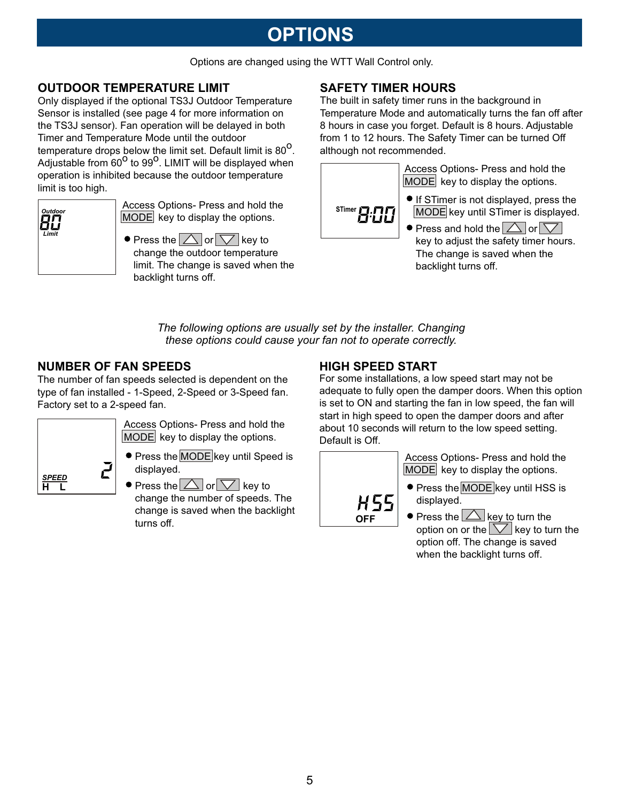# **OPTIONS**

Options are changed using the WTT Wall Control only.

### **OUTDOOR TEMPERATURE LIMIT SAFETY TIMER HOURS**

Only displayed if the optional TS3J Outdoor Temperature Sensor is installed (see page 4 for more information on the TS3J sensor). Fan operation will be delayed in both Timer and Temperature Mode until the outdoor temperature drops below the limit set. Default limit is 80<sup>o</sup>. Adjustable from  $60^{\circ}$  to 99<sup>o</sup>. LIMIT will be displayed when operation is inhibited because the outdoor temperature limit is too high.

| Outdoor<br>пп<br>OЦ<br>Limit |
|------------------------------|
|                              |

Access Options- Press and hold the  $MODE$  key to display the options.

 $\bullet$  Press the  $\Box$  or  $\nabla$  key to change the outdoor temperature limit. The change is saved when the backlight turns off.

The built in safety timer runs in the background in Temperature Mode and automatically turns the fan off after 8 hours in case you forget. Default is 8 hours. Adjustable from 1 to 12 hours. The Safety Timer can be turned Off although not recommended.



Access Options- Press and hold the  $|MODE|$  key to display the options.

- If STimer is not displayed, press the MODE key until STimer is displayed.
- $\bullet$  Press and hold the  $\triangle$  or  $\triangledown$ key to adjust the safety timer hours. The change is saved when the backlight turns off.

*The following options are usually set by the installer. Changing these options could cause your fan not to operate correctly.*

### **NUMBER OF FAN SPEEDS**

The number of fan speeds selected is dependent on the type of fan installed - 1-Speed, 2-Speed or 3-Speed fan. Factory set to a 2-speed fan.



Access Options- Press and hold the  $|MODE|$  key to display the options.

**•** Press the MODE key until Speed is displayed.

 $\bullet$  Press the  $\triangle$  or  $\nabla$  key to change the number of speeds. The change is saved when the backlight turns off.

### **HIGH SPEED START**

For some installations, a low speed start may not be adequate to fully open the damper doors. When this option is set to ON and starting the fan in low speed, the fan will start in high speed to open the damper doors and after about 10 seconds will return to the low speed setting. Default is Off.



Access Options- Press and hold the  $|$ MODE key to display the options.

- **Press the MODE key until HSS is** displayed.
- $\bullet$  Press the  $\triangle$  key to turn the option on or the  $\sqrt{\phantom{a}}$  key to turn the option off. The change is saved when the backlight turns off.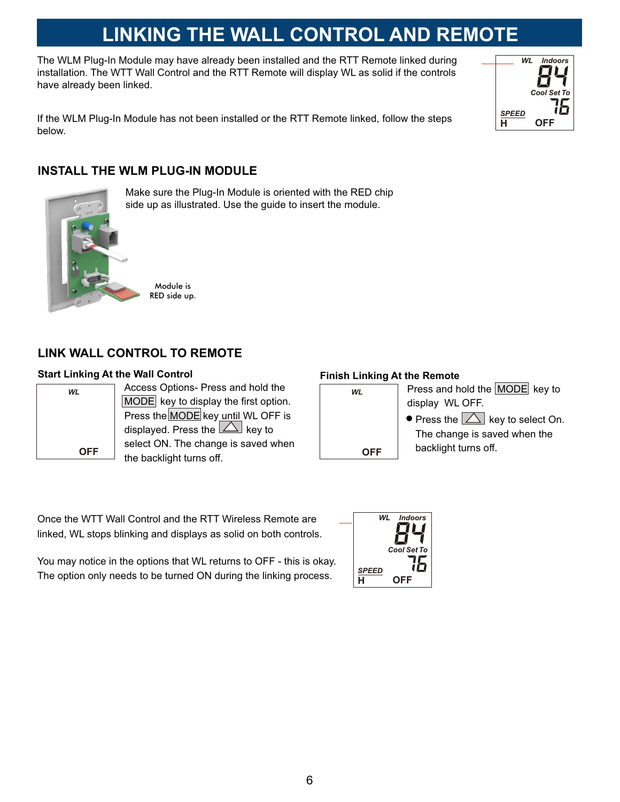# **LINKING THE WALL CONTROL AND REMOTE**

The WLM Plug-In Module may have already been installed and the RTT Remote linked during installation. The WTT Wall Control and the RTT Remote will display WL as solid if the controls have already been linked.

If the WLM Plug-In Module has not been installed or the RTT Remote linked, follow the steps below.



### **INSTALL THE WLM PLUG-IN MODULE**



Make sure the Plug-In Module is oriented with the RED chip side up as illustrated. Use the guide to insert the module.

Module is RED side up.

### **LINK WALL CONTROL TO REMOTE**

#### **Start Linking At the Wall Control Finish Linking At the Remote**

| WL         |
|------------|
|            |
|            |
| <b>OFF</b> |

Access Options- Press and hold the MODE key to display the first option. Press the MODE key until WL OFF is displayed. Press the  $\Delta$  key to select ON. The change is saved when the backlight turns off.

| WL  | Press and hold the MODE key to                      |
|-----|-----------------------------------------------------|
|     | display WL OFF.                                     |
|     | $\bullet$ Press the $ \triangle $ key to select On. |
|     | The change is saved when the                        |
| OFF | backlight turns off.                                |

Once the WTT Wall Control and the RTT Wireless Remote are linked, WL stops blinking and displays as solid on both controls.

You may notice in the options that WL returns to OFF - this is okay. The option only needs to be turned ON during the linking process.  $\mathbf{H} = \mathbf{QF} \mathbf{F}$ 

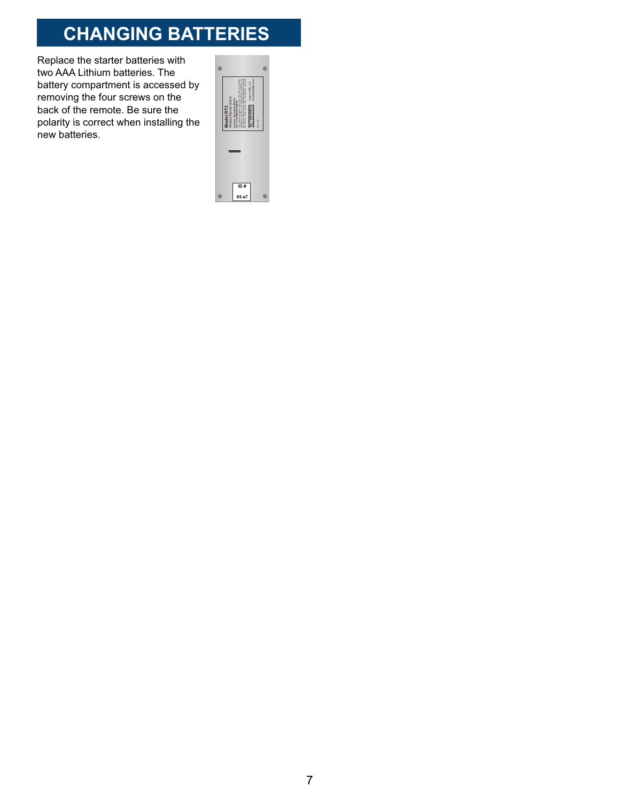# **CHANGING BATTERIES**

Replace the starter batteries with two AAA Lithium batteries. The battery compartment is accessed by removing the four screws on the back of the remote. Be sure the polarity is correct when installing the new batteries.